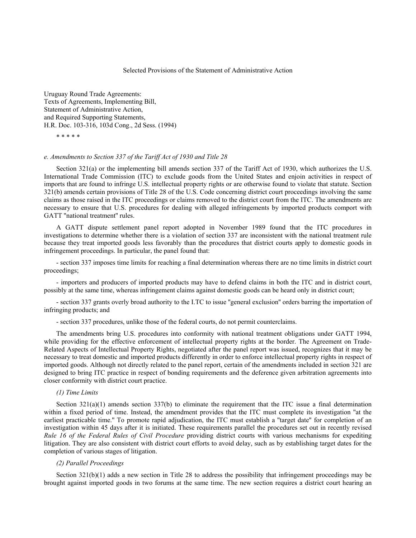# Selected Provisions of the Statement of Administrative Action

Uruguay Round Trade Agreements: Texts of Agreements, Implementing Bill, Statement of Administrative Action, and Required Supporting Statements, H.R. Doc. 103-316, 103d Cong., 2d Sess. (1994)

\* \* \* \* \*

# *e. Amendments to Section 337 of the Tariff Act of 1930 and Title 28*

Section 321(a) or the implementing bill amends section 337 of the Tariff Act of 1930, which authorizes the U.S. International Trade Commission (ITC) to exclude goods from the United States and enjoin activities in respect of imports that are found to infringe U.S. intellectual property rights or are otherwise found to violate that statute. Section 321(b) amends certain provisions of Title 28 of the U.S. Code concerning district court proceedings involving the same claims as those raised in the ITC proceedings or claims removed to the district court from the ITC. The amendments are necessary to ensure that U.S. procedures for dealing with alleged infringements by imported products comport with GATT ''national treatment'' rules.

A GATT dispute settlement panel report adopted in November 1989 found that the ITC procedures in investigations to determine whether there is a violation of section 337 are inconsistent with the national treatment rule because they treat imported goods less favorably than the procedures that district courts apply to domestic goods in infringement proceedings. In particular, the panel found that:

- section 337 imposes time limits for reaching a final determination whereas there are no time limits in district court proceedings;

- importers and producers of imported products may have to defend claims in both the ITC and in district court, possibly at the same time, whereas infringement claims against domestic goods can be heard only in district court;

- section 337 grants overly broad authority to the I.TC to issue ''general exclusion'' orders barring the importation of infringing products; and

- section 337 procedures, unlike those of the federal courts, do not permit counterclaims.

The amendments bring U.S. procedures into conformity with national treatment obligations under GATT 1994, while providing for the effective enforcement of intellectual property rights at the border. The Agreement on Trade-Related Aspects of Intellectual Property Rights, negotiated after the panel report was issued, recognizes that it may be necessary to treat domestic and imported products differently in order to enforce intellectual property rights in respect of imported goods. Although not directly related to the panel report, certain of the amendments included in section 321 are designed to bring ITC practice in respect of bonding requirements and the deference given arbitration agreements into closer conformity with district court practice.

# *(1) Time Limits*

Section  $321(a)(1)$  amends section  $337(b)$  to eliminate the requirement that the ITC issue a final determination within a fixed period of time. Instead, the amendment provides that the ITC must complete its investigation "at the earliest practicable time.'' To promote rapid adjudication, the ITC must establish a ''target date'' for completion of an investigation within 45 days after it is initiated. These requirements parallel the procedures set out in recently revised *Rule 16 of the Federal Rules of Civil Procedure* providing district courts with various mechanisms for expediting litigation. They are also consistent with district court efforts to avoid delay, such as by establishing target dates for the completion of various stages of litigation.

# *(2) Parallel Proceedings*

Section 321(b)(1) adds a new section in Title 28 to address the possibility that infringement proceedings may be brought against imported goods in two forums at the same time. The new section requires a district court hearing an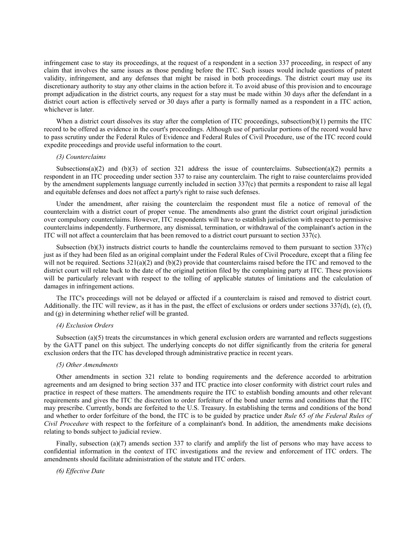infringement case to stay its proceedings, at the request of a respondent in a section 337 proceeding, in respect of any claim that involves the same issues as those pending before the ITC. Such issues would include questions of patent validity, infringement, and any defenses that might be raised in both proceedings. The district court may use its discretionary authority to stay any other claims in the action before it. To avoid abuse of this provision and to encourage prompt adjudication in the district courts, any request for a stay must be made within 30 days after the defendant in a district court action is effectively served or 30 days after a party is formally named as a respondent in a ITC action, whichever is later.

When a district court dissolves its stay after the completion of ITC proceedings, subsection(b)(1) permits the ITC record to be offered as evidence in the court's proceedings. Although use of particular portions of the record would have to pass scrutiny under the Federal Rules of Evidence and Federal Rules of Civil Procedure, use of the ITC record could expedite proceedings and provide useful information to the court.

#### *(3) Counterclaims*

Subsections(a)(2) and (b)(3) of section 321 address the issue of counterclaims. Subsection(a)(2) permits a respondent in an ITC proceeding under section 337 to raise any counterclaim. The right to raise counterclaims provided by the amendment supplements language currently included in section 337(c) that permits a respondent to raise all legal and equitable defenses and does not affect a party's right to raise such defenses.

Under the amendment, after raising the counterclaim the respondent must file a notice of removal of the counterclaim with a district court of proper venue. The amendments also grant the district court original jurisdiction over compulsory counterclaims. However, ITC respondents will have to establish jurisdiction with respect to permissive counterclaims independently. Furthermore, any dismissal, termination, or withdrawal of the complainant's action in the ITC will not affect a counterclaim that has been removed to a district court pursuant to section 337(c).

Subsection (b)(3) instructs district courts to handle the counterclaims removed to them pursuant to section 337(c) just as if they had been filed as an original complaint under the Federal Rules of Civil Procedure, except that a filing fee will not be required. Sections  $321(a)(2)$  and  $(b)(2)$  provide that counterclaims raised before the ITC and removed to the district court will relate back to the date of the original petition filed by the complaining party at ITC. These provisions will be particularly relevant with respect to the tolling of applicable statutes of limitations and the calculation of damages in infringement actions.

The ITC's proceedings will not be delayed or affected if a counterclaim is raised and removed to district court. Additionally. the ITC will review, as it has in the past, the effect of exclusions or orders under sections 337(d), (e), (f), and (g) in determining whether relief will be granted.

# *(4) Exclusion Orders*

Subsection (a)(5) treats the circumstances in which general exclusion orders are warranted and reflects suggestions by the GATT panel on this subject. The underlying concepts do not differ significantly from the criteria for general exclusion orders that the ITC has developed through administrative practice in recent years.

#### *(5) Other Amendments*

Other amendments in section 321 relate to bonding requirements and the deference accorded to arbitration agreements and am designed to bring section 337 and ITC practice into closer conformity with district court rules and practice in respect of these matters. The amendments require the ITC to establish bonding amounts and other relevant requirements and gives the ITC the discretion to order forfeiture of the bond under terms and conditions that the ITC may prescribe. Currently, bonds are forfeited to the U.S. Treasury. In establishing the terms and conditions of the bond and whether to order forfeiture of the bond, the ITC is to be guided by practice under *Rule 65 of the Federal Rules of Civil Procedure* with respect to the forfeiture of a complainant's bond. In addition, the amendments make decisions relating to bonds subject to judicial review.

Finally, subsection (a)(7) amends section 337 to clarify and amplify the list of persons who may have access to confidential information in the context of ITC investigations and the review and enforcement of ITC orders. The amendments should facilitate administration of the statute and ITC orders.

*(6) Effective Date*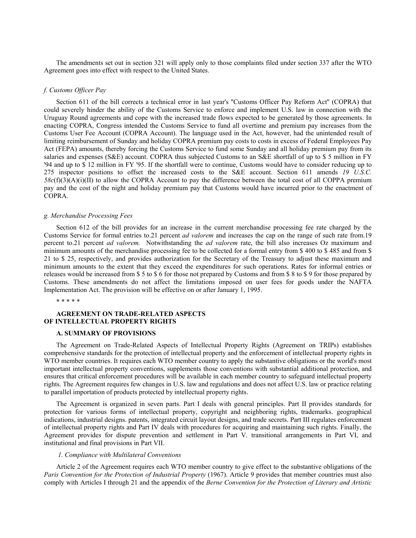The amendments set out in section 321 will apply only to those complaints filed under section 337 after the WTO Agreement goes into effect with respect to the United States.

# *f. Customs Officer Pay*

Section 611 of the bill corrects a technical error in last year's ''Customs Officer Pay Reform Act'' (COPRA) that could severely hinder the ability of the Customs Service to enforce and implement U.S. law in connection with the Uruguay Round agreements and cope with the increased trade flows expected to be generated by those agreements. In enacting COPRA, Congress intended the Customs Service to fund all overtime and premium pay increases from the Customs User Fee Account (COPRA Account). The language used in the Act, however, had the unintended result of limiting reimbursement of Sunday and holiday COPRA premium pay costs to costs in excess of Federal Employees Pay Act (FEPA) amounts, thereby forcing the Customs Service to fund some Sunday and all holiday premium pay from its salaries and expenses (S&E) account. COPRA thus subjected Customs to an S&E shortfall of up to \$ 5 million in FY '94 and up to \$ 12 million in FY '95. If the shortfall were to continue, Customs would have to consider reducing up to 275 inspector positions to offset the increased costs to the S&E account. Section 611 amends *19 U.S.C. 58c*(f)(3)(A)(i)(II) to allow the COPRA Account to pay the difference between the total cost of all COPPA premium pay and the cost of the night and holiday premium pay that Customs would have incurred prior to the enactment of COPRA.

### *g. Merchandise Processing Fees*

Section 612 of the bill provides for an increase in the current merchandise processing fee rate charged by the Customs Service for formal entries to.21 percent *ad valorem* and increases the cap on the range of such rate from.19 percent to.21 percent *ad valorem.* Notwithstanding the *ad valorem* rate, the bill also increases Oz maximum and minimum amounts of the merchandise processing fee to be collected for a formal entry from \$ 400 to \$ 485 and from \$ 21 to \$ 25, respectively, and provides authorization for the Secretary of the Treasury to adjust these maximum and minimum amounts to the extent that they exceed the expenditures for such operations. Rates for informal entries or releases would be increased from \$ 5 to \$ 6 for those not prepared by Customs and from \$ 8 to \$ 9 for those prepared by Customs. These amendments do not affect the limitations imposed on user fees for goods under the NAFTA Implementation Act. The provision will be effective on or after January 1, 1995.

\* \* \* \* \*

# **AGREEMENT ON TRADE-RELATED ASPECTS OF INTELLECTUAL PROPERTY RIGHTS**

#### **A. SUMMARY OF PROVISIONS**

The Agreement on Trade-Related Aspects of Intellectual Property Rights (Agreement on TRIPs) establishes comprehensive standards for the protection of intellectual property and the enforcement of intellectual property rights in WTO member countries. It requires each WTO member country to apply the substantive obligations or the world's most important intellectual property conventions, supplements those conventions with substantial additional protection, and ensures that critical enforcement procedures will be available in each member country to safeguard intellectual property rights. The Agreement requires few changes in U.S. law and regulations and does not affect U.S. law or practice relating to parallel importation of products protected by intellectual property rights.

The Agreement is organized in seven parts. Part I deals with general principles. Part II provides standards for protection for various forms of intellectual property, copyright and neighboring rights, trademarks. geographical indications, industrial designs. patents, integrated circuit layout designs, and trade secrets. Part III regulates enforcement of intellectual property rights and Part IV deals with procedures for acquiring and maintaining such rights. Finally, the Agreement provides for dispute prevention and settlement in Part V. transitional arrangements in Part VI, and institutional and final provisions in Part VII.

### *1. Compliance with Multilateral Conventions*

Article 2 of the Agreement requires each WTO member country to give effect to the substantive obligations of the *Paris Convention for the Protection of Industrial Property* (1967). Article 9 provides that member countries must also comply with Articles I through 21 and the appendix of the *Berne Convention for the Protection of Literary and Artistic*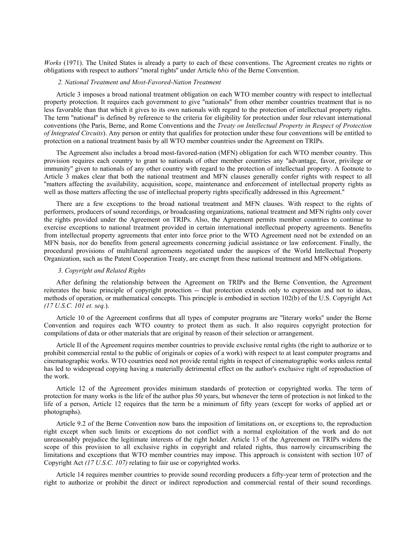*Works* (1971). The United States is already a party to each of these conventions. The Agreement creates no rights or obligations with respect to authors' ''moral rights'' under Article 6*bis* of the Berne Convention.

# *2. National Treatment and Most-Favored-Nation Treatment*

Article 3 imposes a broad national treatment obligation on each WTO member country with respect to intellectual property protection. It requires each government to give ''nationals'' from other member countries treatment that is no less favorable than that which it gives to its own nationals with regard to the protection of intellectual property rights. The term ''national'' is defined by reference to the criteria for eligibility for protection under four relevant international conventions (the Paris, Berne, and Rome Conventions and the *Treaty on Intellectual Property in Respect of Protection of Integrated Circuits*). Any person or entity that qualifies for protection under these four conventions will be entitled to protection on a national treatment basis by all WTO member countries under the Agreement on TRIPs.

The Agreement also includes a broad most-favored-nation (MFN) obligation for each WTO member country. This provision requires each country to grant to nationals of other member countries any ''advantage, favor, privilege or immunity'' given to nationals of any other country with regard to the protection of intellectual property. A footnote to Article 3 makes clear that both the national treatment and MFN clauses generally confer rights with respect to all ''matters affecting the availability, acquisition, scope, maintenance and enforcement of intellectual property rights as well as those matters affecting the use of intellectual property rights specifically addressed in this Agreement.''

There are a few exceptions to the broad national treatment and MFN clauses. With respect to the rights of performers, producers of sound recordings, or broadcasting organizations, national treatment and MFN rights only cover the rights provided under the Agreement on TRIPs. Also, the Agreement permits member countries to continue to exercise exceptions to national treatment provided in certain international intellectual property agreements. Benefits from intellectual property agreements that enter into force prior to the WTO Agreement need not be extended on an MFN basis, nor do benefits from general agreements concerning judicial assistance or law enforcement. Finally, the procedural provisions of multilateral agreements negotiated under the auspices of the World Intellectual Property Organization, such as the Patent Cooperation Treaty, are exempt from these national treatment and MFN obligations.

### *3. Copyright and Related Rights*

After defining the relationship between the Agreement on TRIPs and the Berne Convention, the Agreement reiterates the basic principle of copyright protection -- that protection extends only to expression and not to ideas, methods of operation, or mathematical concepts. This principle is embodied in section 102(b) of the U.S. Copyright Act *(17 U.S.C. 101 et. seq.*).

Article 10 of the Agreement confirms that all types of computer programs are ''literary works'' under the Berne Convention and requires each WTO country to protect them as such. It also requires copyright protection for compilations of data or other materials that are original by reason of their selection or arrangement.

Article II of the Agreement requires member countries to provide exclusive rental rights (the right to authorize or to prohibit commercial rental to the public of originals or copies of a work) with respect to at least computer programs and cinematographic works. WTO countries need not provide rental rights in respect of cinematographic works unless rental has led to widespread copying having a materially detrimental effect on the author's exclusive right of reproduction of the work.

Article 12 of the Agreement provides minimum standards of protection or copyrighted works. The term of protection for many works is the life of the author plus 50 years, but whenever the term of protection is not linked to the life of a person, Article 12 requires that the term be a minimum of fifty years (except for works of applied art or photographs).

Article 9.2 of the Berne Convention now bans the imposition of limitations on, or exceptions to, the reproduction right except when such limits or exceptions do not conflict with a normal exploitation of the work and do not unreasonably prejudice the legitimate interests of the right holder. Article 13 of the Agreement on TRIPs widens the scope of this provision to all exclusive rights in copyright and related rights, thus narrowly circumscribing the limitations and exceptions that WTO member countries may impose. This approach is consistent with section 107 of Copyright Act *(17 U.S.C. 107)* relating to fair use or copyrighted works.

Article 14 requires member countries to provide sound recording producers a fifty-year term of protection and the right to authorize or prohibit the direct or indirect reproduction and commercial rental of their sound recordings.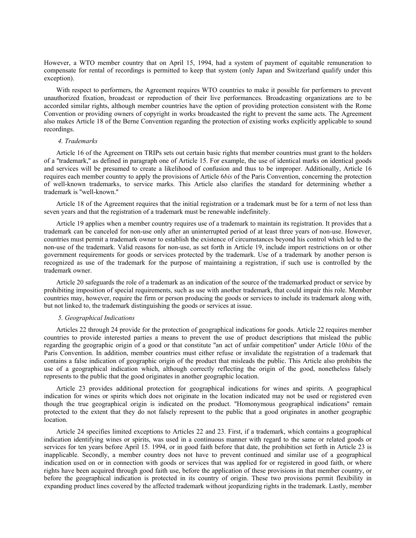However, a WTO member country that on April 15, 1994, had a system of payment of equitable remuneration to compensate for rental of recordings is permitted to keep that system (only Japan and Switzerland qualify under this exception).

With respect to performers, the Agreement requires WTO countries to make it possible for performers to prevent unauthorized fixation, broadcast or reproduction of their live performances. Broadcasting organizations are to be accorded similar rights, although member countries have the option of providing protection consistent with the Rome Convention or providing owners of copyright in works broadcasted the right to prevent the same acts. The Agreement also makes Article 18 of the Berne Convention regarding the protection of existing works explicitly applicable to sound recordings.

# *4. Trademarks*

Article 16 of the Agreement on TRIPs sets out certain basic rights that member countries must grant to the holders of a ''trademark,'' as defined in paragraph one of Article 15. For example, the use of identical marks on identical goods and services will be presumed to create a likelihood of confusion and thus to be improper. Additionally, Article 16 requires each member country to apply the provisions of Article 6*bis* of the Paris Convention, concerning the protection of well-known trademarks, to service marks. This Article also clarifies the standard for determining whether a trademark is ''well-known.''

Article 18 of the Agreement requires that the initial registration or a trademark must be for a term of not less than seven years and that the registration of a trademark must be renewable indefinitely.

Article 19 applies when a member country requires use of a trademark to maintain its registration. It provides that a trademark can be canceled for non-use only after an uninterrupted period of at least three years of non-use. However, countries must permit a trademark owner to establish the existence of circumstances beyond his control which led to the non-use of the trademark. Valid reasons for non-use, as set forth in Article 19, include import restrictions on or other government requirements for goods or services protected by the trademark. Use of a trademark by another person is recognized as use of the trademark for the purpose of maintaining a registration, if such use is controlled by the trademark owner.

Article 20 safeguards the role of a trademark as an indication of the source of the trademarked product or service by prohibiting imposition of special requirements, such as use with another trademark, that could impair this role. Member countries may, however, require the firm or person producing the goods or services to include its trademark along with, but not linked to, the trademark distinguishing the goods or services at issue.

#### *5. Geographical Indications*

Articles 22 through 24 provide for the protection of geographical indications for goods. Article 22 requires member countries to provide interested parties a means to prevent the use of product descriptions that mislead the public regarding the geographic origin of a good or that constitute ''an act of unfair competition'' under Article 10*bis* of the Paris Convention. In addition, member countries must either refuse or invalidate the registration of a trademark that contains a false indication of geographic origin of the product that misleads the public. This Article also prohibits the use of a geographical indication which, although correctly reflecting the origin of the good, nonetheless falsely represents to the public that the good originates in another geographic location.

Article 23 provides additional protection for geographical indications for wines and spirits. A geographical indication for wines or spirits which does not originate in the location indicated may not be used or registered even though the true geographical origin is indicated on the product. ''Homonymous geographical indications'' remain protected to the extent that they do not falsely represent to the public that a good originates in another geographic location.

Article 24 specifies limited exceptions to Articles 22 and 23. First, if a trademark, which contains a geographical indication identifying wines or spirits, was used in a continuous manner with regard to the same or related goods or services for ten years before April 15. 1994, or in good faith before that date, the prohibition set forth in Article 23 is inapplicable. Secondly, a member country does not have to prevent continued and similar use of a geographical indication used on or in connection with goods or services that was applied for or registered in good faith, or where rights have been acquired through good faith use, before the application of these provisions in that member country, or before the geographical indication is protected in its country of origin. These two provisions permit flexibility in expanding product lines covered by the affected trademark without jeopardizing rights in the trademark. Lastly, member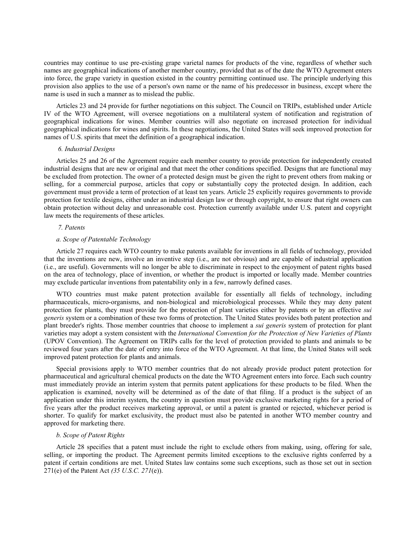countries may continue to use pre-existing grape varietal names for products of the vine, regardless of whether such names are geographical indications of another member country, provided that as of the date the WTO Agreement enters into force, the grape variety in question existed in the country permitting continued use. The principle underlying this provision also applies to the use of a person's own name or the name of his predecessor in business, except where the name is used in such a manner as to mislead the public.

Articles 23 and 24 provide for further negotiations on this subject. The Council on TRIPs, established under Article IV of the WTO Agreement, will oversee negotiations on a multilateral system of notification and registration of geographical indications for wines. Member countries will also negotiate on increased protection for individual geographical indications for wines and spirits. In these negotiations, the United States will seek improved protection for names of U.S. spirits that meet the definition of a geographical indication.

# *6. Industrial Designs*

Articles 25 and 26 of the Agreement require each member country to provide protection for independently created industrial designs that are new or original and that meet the other conditions specified. Designs that are functional may be excluded from protection. The owner of a protected design must be given the right to prevent others from making or selling, for a commercial purpose, articles that copy or substantially copy the protected design. In addition, each government must provide a term of protection of at least ten years. Article 25 explicitly requires governments to provide protection for textile designs, either under an industrial design law or through copyright, to ensure that right owners can obtain protection without delay and unreasonable cost. Protection currently available under U.S. patent and copyright law meets the requirements of these articles.

# *7. Patents*

# *a. Scope of Patentable Technology*

Article 27 requires each WTO country to make patents available for inventions in all fields of technology, provided that the inventions are new, involve an inventive step (i.e., are not obvious) and are capable of industrial application (i.e., are useful). Governments will no longer be able to discriminate in respect to the enjoyment of patent rights based on the area of technology, place of invention, or whether the product is imported or locally made. Member countries may exclude particular inventions from patentability only in a few, narrowly defined cases.

WTO countries must make patent protection available for essentially all fields of technology, including pharmaceuticals, micro-organisms, and non-biological and microbiological processes. While they may deny patent protection for plants, they must provide for the protection of plant varieties either by patents or by an effective *sui generis* system or a combination of these two forms of protection. The United States provides both patent protection and plant breeder's rights. Those member countries that choose to implement a *sui generis* system of protection for plant varieties may adopt a system consistent with the *International Convention for the Protection of New Varieties of Plants* (UPOV Convention). The Agreement on TRIPs calls for the level of protection provided to plants and animals to be reviewed four years after the date of entry into force of the WTO Agreement. At that lime, the United States will seek improved patent protection for plants and animals.

Special provisions apply to WTO member countries that do not already provide product patent protection for pharmaceutical and agricultural chemical products on the date the WTO Agreement enters into force. Each such country must immediately provide an interim system that permits patent applications for these products to be filed. When the application is examined, novelty will be determined as of the date of that filing. If a product is the subject of an application under this interim system, the country in question must provide exclusive marketing rights for a period of five years after the product receives marketing approval, or until a patent is granted or rejected, whichever period is shorter. To qualify for market exclusivity, the product must also be patented in another WTO member country and approved for marketing there.

### *b. Scope of Patent Rights*

Article 28 specifies that a patent must include the right to exclude others from making, using, offering for sale, selling, or importing the product. The Agreement permits limited exceptions to the exclusive rights conferred by a patent if certain conditions are met. United States law contains some such exceptions, such as those set out in section 271(e) of the Patent Act *(35 U.S.C. 271*(e)).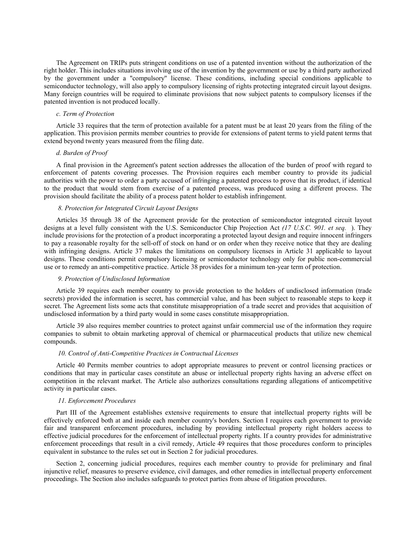The Agreement on TRIPs puts stringent conditions on use of a patented invention without the authorization of the right holder. This includes situations involving use of the invention by the government or use by a third party authorized by the government under a ''compulsory'' license. These conditions, including special conditions applicable to semiconductor technology, will also apply to compulsory licensing of rights protecting integrated circuit layout designs. Many foreign countries will be required to eliminate provisions that now subject patents to compulsory licenses if the patented invention is not produced locally.

### *c. Term of Protection*

Article 33 requires that the term of protection available for a patent must be at least 20 years from the filing of the application. This provision permits member countries to provide for extensions of patent terms to yield patent terms that extend beyond twenty years measured from the filing date.

# *d. Burden of Proof*

A final provision in the Agreement's patent section addresses the allocation of the burden of proof with regard to enforcement of patents covering processes. The Provision requires each member country to provide its judicial authorities with the power to order a party accused of infringing a patented process to prove that its product, if identical to the product that would stem from exercise of a patented process, was produced using a different process. The provision should facilitate the ability of a process patent holder to establish infringement.

### *8. Protection for Integrated Circuit Layout Designs*

Articles 35 through 38 of the Agreement provide for the protection of semiconductor integrated circuit layout designs at a level fully consistent with the U.S. Semiconductor Chip Projection Act *(17 U.S.C. 901. et seq.* ). They include provisions for the protection of a product incorporating a protected layout design and require innocent infringers to pay a reasonable royalty for the sell-off of stock on hand or on order when they receive notice that they are dealing with infringing designs. Article 37 makes the limitations on compulsory licenses in Article 31 applicable to layout designs. These conditions permit compulsory licensing or semiconductor technology only for public non-commercial use or to remedy an anti-competitive practice. Article 38 provides for a minimum ten-year term of protection.

### *9. Protection of Undisclosed Information*

Article 39 requires each member country to provide protection to the holders of undisclosed information (trade secrets) provided the information is secret, has commercial value, and has been subject to reasonable steps to keep it secret. The Agreement lists some acts that constitute misappropriation of a trade secret and provides that acquisition of undisclosed information by a third party would in some cases constitute misappropriation.

Article 39 also requires member countries to protect against unfair commercial use of the information they require companies to submit to obtain marketing approval of chemical or pharmaceutical products that utilize new chemical compounds.

### *10. Control of Anti-Competitive Practices in Contractual Licenses*

Article 40 Permits member countries to adopt appropriate measures to prevent or control licensing practices or conditions that may in particular cases constitute an abuse or intellectual property rights having an adverse effect on competition in the relevant market. The Article also authorizes consultations regarding allegations of anticompetitive activity in particular cases.

# *11. Enforcement Procedures*

Part III of the Agreement establishes extensive requirements to ensure that intellectual property rights will be effectively enforced both at and inside each member country's borders. Section I requires each government to provide fair and transparent enforcement procedures, including by providing intellectual property right holders access to effective judicial procedures for the enforcement of intellectual property rights. If a country provides for administrative enforcement proceedings that result in a civil remedy, Article 49 requires that those procedures conform to principles equivalent in substance to the rules set out in Section 2 for judicial procedures.

Section 2, concerning judicial procedures, requires each member country to provide for preliminary and final injunctive relief, measures to preserve evidence, civil damages, and other remedies in intellectual property enforcement proceedings. The Section also includes safeguards to protect parties from abuse of litigation procedures.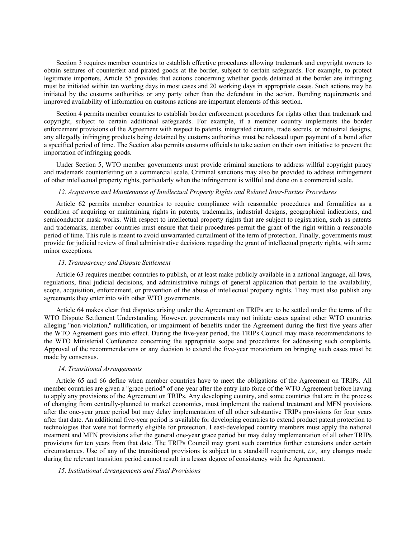Section 3 requires member countries to establish effective procedures allowing trademark and copyright owners to obtain seizures of counterfeit and pirated goods at the border, subject to certain safeguards. For example, to protect legitimate importers, Article 55 provides that actions concerning whether goods detained at the border are infringing must be initiated within ten working days in most cases and 20 working days in appropriate cases. Such actions may be initiated by the customs authorities or any party other than the defendant in the action. Bonding requirements and improved availability of information on customs actions are important elements of this section.

Section 4 permits member countries to establish border enforcement procedures for rights other than trademark and copyright, subject to certain additional safeguards. For example, if a member country implements the border enforcement provisions of the Agreement with respect to patents, integrated circuits, trade secrets, or industrial designs, any allegedly infringing products being detained by customs authorities must be released upon payment of a bond after a specified period of time. The Section also permits customs officials to take action on their own initiative to prevent the importation of infringing goods.

Under Section 5, WTO member governments must provide criminal sanctions to address willful copyright piracy and trademark counterfeiting on a commercial scale. Criminal sanctions may also be provided to address infringement of other intellectual property rights, particularly when the infringement is willful and done on a commercial scale.

# *12. Acquisition and Maintenance of Intellectual Property Rights and Related Inter-Parties Procedures*

Article 62 permits member countries to require compliance with reasonable procedures and formalities as a condition of acquiring or maintaining rights in patents, trademarks, industrial designs, geographical indications, and semiconductor mask works. With respect to intellectual property rights that are subject to registration, such as patents and trademarks, member countries must ensure that their procedures permit the grant of the right within a reasonable period of time. This rule is meant to avoid unwarranted curtailment of the term of protection. Finally, governments must provide for judicial review of final administrative decisions regarding the grant of intellectual property rights, with some minor exceptions.

#### *13. Transparency and Dispute Settlement*

Article 63 requires member countries to publish, or at least make publicly available in a national language, all laws, regulations, final judicial decisions, and administrative rulings of general application that pertain to the availability, scope, acquisition, enforcement, or prevention of the abuse of intellectual property rights. They must also publish any agreements they enter into with other WTO governments.

Article 64 makes clear that disputes arising under the Agreement on TRIPs are to be settled under the terms of the WTO Dispute Settlement Understanding. However, governments may not initiate cases against other WTO countries alleging ''non-violation,'' nullification, or impairment of benefits under the Agreement during the first five years after the WTO Agreement goes into effect. During the five-year period, the TRIPs Council may make recommendations to the WTO Ministerial Conference concerning the appropriate scope and procedures for addressing such complaints. Approval of the recommendations or any decision to extend the five-year moratorium on bringing such cases must be made by consensus.

#### *14. Transitional Arrangements*

Article 65 and 66 define when member countries have to meet the obligations of the Agreement on TRIPs. All member countries are given a ''grace period'' of one year after the entry into force of the WTO Agreement before having to apply any provisions of the Agreement on TRIPs. Any developing country, and some countries that are in the process of changing from centrally-planned to market economies, must implement the national treatment and MFN provisions after the one-year grace period but may delay implementation of all other substantive TRIPs provisions for four years after that date. An additional five-year period is available for developing countries to extend product patent protection to technologies that were not formerly eligible for protection. Least-developed country members must apply the national treatment and MFN provisions after the general one-year grace period but may delay implementation of all other TRIPs provisions for ten years from that date. The TRIPs Council may grant such countries further extensions under certain circumstances. Use of any of the transitional provisions is subject to a standstill requirement, *i.e.,* any changes made during the relevant transition period cannot result in a lesser degree of consistency with the Agreement.

### *15. Institutional Arrangements and Final Provisions*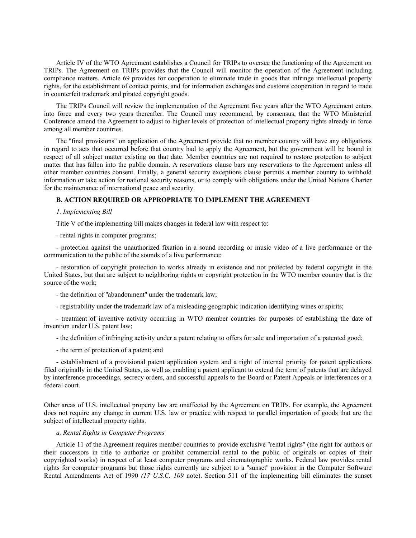Article IV of the WTO Agreement establishes a Council for TRIPs to oversee the functioning of the Agreement on TRIPs. The Agreement on TRIPs provides that the Council will monitor the operation of the Agreement including compliance matters. Article 69 provides for cooperation to eliminate trade in goods that infringe intellectual property rights, for the establishment of contact points, and for information exchanges and customs cooperation in regard to trade in counterfeit trademark and pirated copyright goods.

The TRIPs Council will review the implementation of the Agreement five years after the WTO Agreement enters into force and every two years thereafter. The Council may recommend, by consensus, that the WTO Ministerial Conference amend the Agreement to adjust to higher levels of protection of intellectual property rights already in force among all member countries.

The ''final provisions'' on application of the Agreement provide that no member country will have any obligations in regard to acts that occurred before that country had to apply the Agreement, but the government will be bound in respect of all subject matter existing on that date. Member countries are not required to restore protection to subject matter that has fallen into the public domain. A reservations clause bars any reservations to the Agreement unless all other member countries consent. Finally, a general security exceptions clause permits a member country to withhold information or take action for national security reasons, or to comply with obligations under the United Nations Charter for the maintenance of international peace and security.

# **B. ACTION REQUIRED OR APPROPRIATE TO IMPLEMENT THE AGREEMENT**

#### *1. Implementing Bill*

Title V of the implementing bill makes changes in federal law with respect to:

- rental rights in computer programs;

- protection against the unauthorized fixation in a sound recording or music video of a live performance or the communication to the public of the sounds of a live performance;

- restoration of copyright protection to works already in existence and not protected by federal copyright in the United States, but that are subject to neighboring rights or copyright protection in the WTO member country that is the source of the work;

- the definition of ''abandonment'' under the trademark law;

- registrability under the trademark law of a misleading geographic indication identifying wines or spirits;

- treatment of inventive activity occurring in WTO member countries for purposes of establishing the date of invention under U.S. patent law;

- the definition of infringing activity under a patent relating to offers for sale and importation of a patented good;

- the term of protection of a patent; and

- establishment of a provisional patent application system and a right of internal priority for patent applications filed originally in the United States, as well as enabling a patent applicant to extend the term of patents that are delayed by interference proceedings, secrecy orders, and successful appeals to the Board or Patent Appeals or lnterferences or a federal court.

Other areas of U.S. intellectual property law are unaffected by the Agreement on TRIPs. For example, the Agreement does not require any change in current U.S. law or practice with respect to parallel importation of goods that are the subject of intellectual property rights.

### *a. Rental Rights in Computer Programs*

Article 11 of the Agreement requires member countries to provide exclusive ''rental rights'' (the right for authors or their successors in title to authorize or prohibit commercial rental to the public of originals or copies of their copyrighted works) in respect of at least computer programs and cinematographic works. Federal law provides rental rights for computer programs but those rights currently are subject to a ''sunset'' provision in the Computer Software Rental Amendments Act of 1990 *(17 U.S.C. 109* note). Section 511 of the implementing bill eliminates the sunset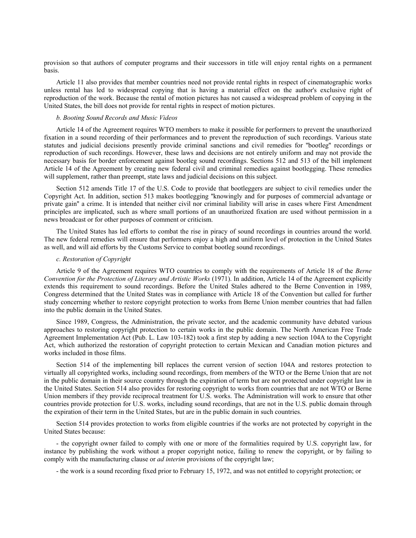provision so that authors of computer programs and their successors in title will enjoy rental rights on a permanent basis.

Article 11 also provides that member countries need not provide rental rights in respect of cinematographic works unless rental has led to widespread copying that is having a material effect on the author's exclusive right of reproduction of the work. Because the rental of motion pictures has not caused a widespread problem of copying in the United States, the bill does not provide for rental rights in respect of motion pictures.

#### *b. Booting Sound Records and Music Videos*

Article 14 of the Agreement requires WTO members to make it possible for performers to prevent the unauthorized fixation in a sound recording of their performances and to prevent the reproduction of such recordings. Various state statutes and judicial decisions presently provide criminal sanctions and civil remedies for ''bootleg'' recordings or reproduction of such recordings. However, these laws and decisions are not entirely uniform and may not provide the necessary basis for border enforcement against bootleg sound recordings. Sections 512 and 513 of the bill implement Article 14 of the Agreement by creating new federal civil and criminal remedies against bootlegging. These remedies will supplement, rather than preempt, state laws and judicial decisions on this subject.

Section 512 amends Title 17 of the U.S. Code to provide that bootleggers are subject to civil remedies under the Copyright Act. In addition, section 513 makes bootlegging ''knowingly and for purposes of commercial advantage or private gain'' a crime. It is intended that neither civil nor criminal liability will arise in cases where First Amendment principles are implicated, such as where small portions of an unauthorized fixation are used without permission in a news broadcast or for other purposes of comment or criticism.

The United States has led efforts to combat the rise in piracy of sound recordings in countries around the world. The new federal remedies will ensure that performers enjoy a high and uniform level of protection in the United States as well, and will aid efforts by the Customs Service to combat bootleg sound recordings.

#### *c. Restoration of Copyright*

Article 9 of the Agreement requires WTO countries to comply with the requirements of Article 18 of the *Berne Convention for the Protection of Literary and Artistic Works* (1971). In addition, Article 14 of the Agreement explicitly extends this requirement to sound recordings. Before the United Stales adhered to the Berne Convention in 1989, Congress determined that the United States was in compliance with Article 18 of the Convention but called for further study concerning whether to restore copyright protection to works from Berne Union member countries that had fallen into the public domain in the United States.

Since 1989, Congress, the Administration, the private sector, and the academic community have debated various approaches to restoring copyright protection to certain works in the public domain. The North American Free Trade Agreement Implementation Act (Pub. L. Law 103-182) took a first step by adding a new section 104A to the Copyright Act, which authorized the restoration of copyright protection to certain Mexican and Canadian motion pictures and works included in those films.

Section 514 of the implementing bill replaces the current version of section 104A and restores protection to virtually all copyrighted works, including sound recordings, from members of the WTO or the Berne Union that are not in the public domain in their source country through the expiration of term but are not protected under copyright law in the United States. Section 514 also provides for restoring copyright to works from countries that are not WTO or Berne Union members if they provide reciprocal treatment for U.S. works. The Administration will work to ensure that other countries provide protection for U.S. works, including sound recordings, that are not in the U.S. public domain through the expiration of their term in the United States, but are in the public domain in such countries.

Section 514 provides protection to works from eligible countries if the works are not protected by copyright in the United States because:

- the copyright owner failed to comply with one or more of the formalities required by U.S. copyright law, for instance by publishing the work without a proper copyright notice, failing to renew the copyright, or by failing to comply with the manufacturing clause or *ad interim* provisions of the copyright law;

- the work is a sound recording fixed prior to February 15, 1972, and was not entitled to copyright protection; or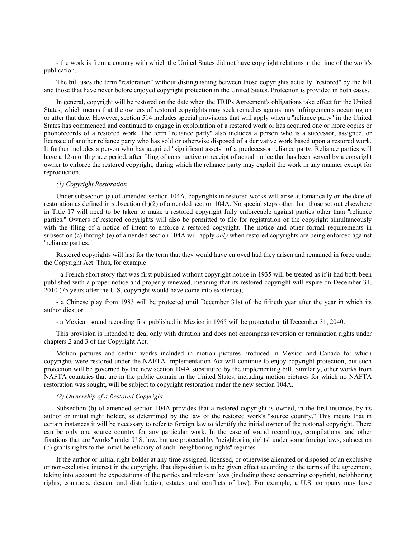- the work is from a country with which the United States did not have copyright relations at the time of the work's publication.

The bill uses the term ''restoration'' without distinguishing between those copyrights actually ''restored'' by the bill and those that have never before enjoyed copyright protection in the United States. Protection is provided in both cases.

In general, copyright will be restored on the date when the TRIPs Agreement's obligations take effect for the United States, which means that the owners of restored copyrights may seek remedies against any infringements occurring on or after that date. However, section 514 includes special provisions that will apply when a ''reliance party'' in the United States has commenced and continued to engage in exploitation of a restored work or has acquired one or more copies or phonorecords of a restored work. The term ''reliance party'' also includes a person who is a successor, assignee, or licensee of another reliance party who has sold or otherwise disposed of a derivative work based upon a restored work. It further includes a person who has acquired ''significant assets'' of a predecessor reliance party. Reliance parties will have a 12-month grace period, after filing of constructive or receipt of actual notice that has been served by a copyright owner to enforce the restored copyright, during which the reliance party may exploit the work in any manner except for reproduction.

### *(1) Copyright Restoration*

Under subsection (a) of amended section 104A, copyrights in restored works will arise automatically on the date of restoration as defined in subsection (h)(2) of amended section 104A. No special steps other than those set out elsewhere in Title 17 will need to be taken to make a restored copyright fully enforceable against parties other than ''reliance parties.'' Owners of restored copyrights will also be permitted to file for registration of the copyright simultaneously with the filing of a notice of intent to enforce a restored copyright. The notice and other formal requirements in subsection (c) through (e) of amended section 104A will apply *only* when restored copyrights are being enforced against ''reliance parties.''

Restored copyrights will last for the term that they would have enjoyed had they arisen and remained in force under the Copyright Act. Thus, for example:

- a French short story that was first published without copyright notice in 1935 will be treated as if it had both been published with a proper notice and properly renewed, meaning that its restored copyright will expire on December 31, 2010 (75 years after the U.S. copyright would have come into existence);

- a Chinese play from 1983 will be protected until December 31st of the fiftieth year after the year in which its author dies; or

- a Mexican sound recording first published in Mexico in 1965 will be protected until December 31, 2040.

This provision is intended to deal only with duration and does not encompass reversion or termination rights under chapters 2 and 3 of the Copyright Act.

Motion pictures and certain works included in motion pictures produced in Mexico and Canada for which copyrights were restored under the NAFTA Implementation Act will continue to enjoy copyright protection, but such protection will be governed by the new section 104A substituted by the implementing bill. Similarly, other works from NAFTA countries that are in the public domain in the United States, including motion pictures for which no NAFTA restoration was sought, will be subject to copyright restoration under the new section 104A.

# *(2) Ownership of a Restored Copyright*

Subsection (b) of amended section 104A provides that a restored copyright is owned, in the first instance, by its author or initial right holder, as determined by the law of the restored work's ''source country.'' This means that in certain instances it will be necessary to refer to foreign law to identify the initial owner of the restored copyright. There can be only one source country for any particular work. In the case of sound recordings, compilations, and other fixations that are ''works'' under U.S. law, but are protected by ''neighboring rights'' under some foreign laws, subsection (b) grants rights to the initial beneficiary of such ''neighboring rights'' regimes.

If the author or initial right holder at any time assigned, licensed, or otherwise alienated or disposed of an exclusive or non-exclusive interest in the copyright, that disposition is to be given effect according to the terms of the agreement, taking into account the expectations of the parties and relevant laws (including those concerning copyright, neighboring rights, contracts, descent and distribution, estates, and conflicts of law). For example, a U.S. company may have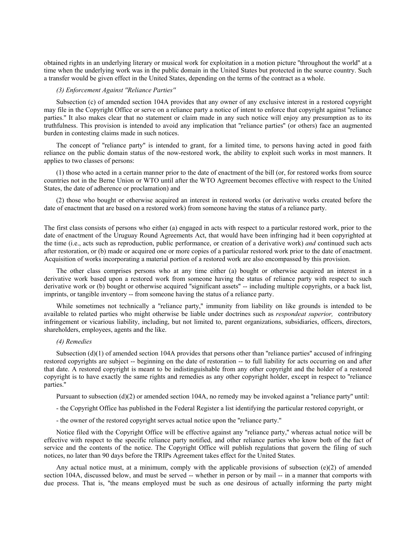obtained rights in an underlying literary or musical work for exploitation in a motion picture ''throughout the world'' at a time when the underlying work was in the public domain in the United States but protected in the source country. Such a transfer would be given effect in the United States, depending on the terms of the contract as a whole.

# *(3) Enforcement Against ''Reliance Parties''*

Subsection (c) of amended section 104A provides that any owner of any exclusive interest in a restored copyright may file in the Copyright Office or serve on a reliance party a notice of intent to enforce that copyright against ''reliance parties.'' It also makes clear that no statement or claim made in any such notice will enjoy any presumption as to its truthfulness. This provision is intended to avoid any implication that ''reliance parties'' (or others) face an augmented burden in contesting claims made in such notices.

The concept of ''reliance party'' is intended to grant, for a limited time, to persons having acted in good faith reliance on the public domain status of the now-restored work, the ability to exploit such works in most manners. It applies to two classes of persons:

(1) those who acted in a certain manner prior to the date of enactment of the bill (or, for restored works from source countries not in the Berne Union or WTO until after the WTO Agreement becomes effective with respect to the United States, the date of adherence or proclamation) and

(2) those who bought or otherwise acquired an interest in restored works (or derivative works created before the date of enactment that are based on a restored work) from someone having the status of a reliance party.

The first class consists of persons who either (a) engaged in acts with respect to a particular restored work, prior to the date of enactment of the Uruguay Round Agreements Act, that would have been infringing had it been copyrighted at the time (i.e., acts such as reproduction, public performance, or creation of a derivative work) *and* continued such acts after restoration, or (b) made or acquired one or more copies of a particular restored work prior to the date of enactment. Acquisition of works incorporating a material portion of a restored work are also encompassed by this provision.

The other class comprises persons who at any time either (a) bought or otherwise acquired an interest in a derivative work based upon a restored work from someone having the status of reliance party with respect to such derivative work or (b) bought or otherwise acquired "significant assets" -- including multiple copyrights, or a back list, imprints, or tangible inventory -- from someone having the status of a reliance party.

While sometimes not technically a "reliance party," immunity from liability on like grounds is intended to be available to related parties who might otherwise be liable under doctrines such as *respondeat superior,* contributory infringement or vicarious liability, including, but not limited to, parent organizations, subsidiaries, officers, directors, shareholders, employees, agents and the like.

### *(4) Remedies*

Subsection  $(d)(1)$  of amended section 104A provides that persons other than "reliance parties" accused of infringing restored copyrights are subject -- beginning on the date of restoration -- to full liability for acts occurring on and after that date. A restored copyright is meant to be indistinguishable from any other copyright and the holder of a restored copyright is to have exactly the same rights and remedies as any other copyright holder, except in respect to ''reliance parties.''

Pursuant to subsection (d)(2) or amended section 104A, no remedy may be invoked against a ''reliance party'' until:

- the Copyright Office has published in the Federal Register a list identifying the particular restored copyright, or
- the owner of the restored copyright serves actual notice upon the ''reliance party.''

Notice filed with the Copyright Office will be effective against any ''reliance party,'' whereas actual notice will be effective with respect to the specific reliance party notified, and other reliance parties who know both of the fact of service and the contents of the notice. The Copyright Office will publish regulations that govern the filing of such notices, no later than 90 days before the TRIPs Agreement takes effect for the United States.

Any actual notice must, at a minimum, comply with the applicable provisions of subsection  $(e)(2)$  of amended section 104A, discussed below, and must be served -- whether in person or by mail -- in a manner that comports with due process. That is, ''the means employed must be such as one desirous of actually informing the party might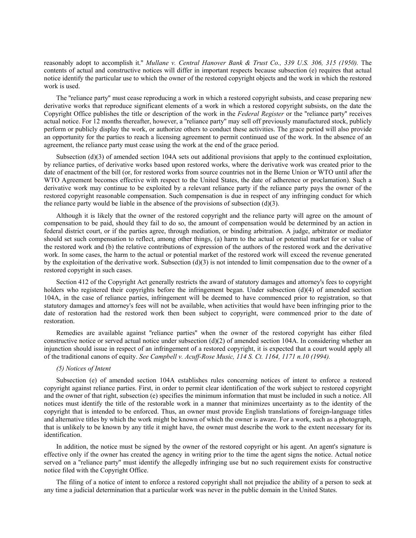reasonably adopt to accomplish it.'' *Mullane v. Central Hanover Bank & Trust Co., 339 U.S. 306, 315 (1950).* The contents of actual and constructive notices will differ in important respects because subsection (e) requires that actual notice identify the particular use to which the owner of the restored copyright objects and the work in which the restored work is used.

The ''reliance party'' must cease reproducing a work in which a restored copyright subsists, and cease preparing new derivative works that reproduce significant elements of a work in which a restored copyright subsists, on the date the Copyright Office publishes the title or description of the work in the *Federal Register* or the ''reliance party'' receives actual notice. For 12 months thereafter, however, a ''reliance party'' may sell off previously manufactured stock, publicly perform or publicly display the work, or authorize others to conduct these activities. The grace period will also provide an opportunity for the parties to reach a licensing agreement to permit continued use of the work. In the absence of an agreement, the reliance party must cease using the work at the end of the grace period.

Subsection (d)(3) of amended section 104A sets out additional provisions that apply to the continued exploitation, by reliance parties, of derivative works based upon restored works, where the derivative work was created prior to the date of enactment of the bill (or, for restored works from source countries not in the Berne Union or WTO until after the WTO Agreement becomes effective with respect to the United States, the date of adherence or proclamation). Such a derivative work may continue to be exploited by a relevant reliance party if the reliance party pays the owner of the restored copyright reasonable compensation. Such compensation is due in respect of any infringing conduct for which the reliance party would be liable in the absence of the provisions of subsection  $(d)(3)$ .

Although it is likely that the owner of the restored copyright and the reliance party will agree on the amount of compensation to be paid, should they fail to do so, the amount of compensation would be determined by an action in federal district court, or if the parties agree, through mediation, or binding arbitration. A judge, arbitrator or mediator should set such compensation to reflect, among other things, (a) harm to the actual or potential market for or value of the restored work and (b) the relative contributions of expression of the authors of the restored work and the derivative work. In some cases, the harm to the actual or potential market of the restored work will exceed the revenue generated by the exploitation of the derivative work. Subsection (d)(3) is not intended to limit compensation due to the owner of a restored copyright in such cases.

Section 412 of the Copyright Act generally restricts the award of statutory damages and attorney's fees to copyright holders who registered their copyrights before the infringement began. Under subsection (d)(4) of amended section 104A, in the case of reliance parties, infringement will be deemed to have commenced prior to registration, so that statutory damages and attorney's fees will not be available, when activities that would have been infringing prior to the date of restoration had the restored work then been subject to copyright, were commenced prior to the date of restoration.

Remedies are available against ''reliance parties'' when the owner of the restored copyright has either filed constructive notice or served actual notice under subsection  $(d)(2)$  of amended section 104A. In considering whether an injunction should issue in respect of an infringement of a restored copyright, it is expected that a court would apply all of the traditional canons of equity. *See Campbell v. Acuff-Rose Music, 114 S. Ct. 1164, 1171 n.10 (1994).*

### *(5) Notices of Intent*

Subsection (e) of amended section 104A establishes rules concerning notices of intent to enforce a restored copyright against reliance parties. First, in order to permit clear identification of the work subject to restored copyright and the owner of that right, subsection (e) specifies the minimum information that must be included in such a notice. All notices must identify the title of the restorable work in a manner that minimizes uncertainty as to the identity of the copyright that is intended to be enforced. Thus, an owner must provide English translations of foreign-language titles and alternative titles by which the work might be known of which the owner is aware. For a work, such as a photograph, that is unlikely to be known by any title it might have, the owner must describe the work to the extent necessary for its identification.

In addition, the notice must be signed by the owner of the restored copyright or his agent. An agent's signature is effective only if the owner has created the agency in writing prior to the time the agent signs the notice. Actual notice served on a ''reliance party'' must identify the allegedly infringing use but no such requirement exists for constructive notice filed with the Copyright Office.

The filing of a notice of intent to enforce a restored copyright shall not prejudice the ability of a person to seek at any time a judicial determination that a particular work was never in the public domain in the United States.